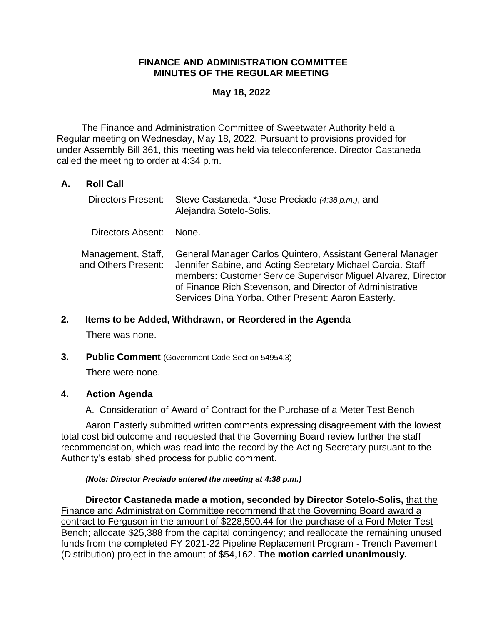# **FINANCE AND ADMINISTRATION COMMITTEE MINUTES OF THE REGULAR MEETING**

### **May 18, 2022**

The Finance and Administration Committee of Sweetwater Authority held a Regular meeting on Wednesday, May 18, 2022. Pursuant to provisions provided for under Assembly Bill 361, this meeting was held via teleconference. Director Castaneda called the meeting to order at 4:34 p.m.

# **A. Roll Call**

| Directors Present:                        | Steve Castaneda, *Jose Preciado (4:38 p.m.), and<br>Alejandra Sotelo-Solis.                                                                                                                                                                                                                                    |
|-------------------------------------------|----------------------------------------------------------------------------------------------------------------------------------------------------------------------------------------------------------------------------------------------------------------------------------------------------------------|
| Directors Absent:                         | None.                                                                                                                                                                                                                                                                                                          |
| Management, Staff,<br>and Others Present: | General Manager Carlos Quintero, Assistant General Manager<br>Jennifer Sabine, and Acting Secretary Michael Garcia. Staff<br>members: Customer Service Supervisor Miguel Alvarez, Director<br>of Finance Rich Stevenson, and Director of Administrative<br>Services Dina Yorba. Other Present: Aaron Easterly. |

### **2. Items to be Added, Withdrawn, or Reordered in the Agenda**

There was none.

**3. Public Comment** (Government Code Section 54954.3)

There were none.

### **4. Action Agenda**

A. Consideration of Award of Contract for the Purchase of a Meter Test Bench

Aaron Easterly submitted written comments expressing disagreement with the lowest total cost bid outcome and requested that the Governing Board review further the staff recommendation, which was read into the record by the Acting Secretary pursuant to the Authority's established process for public comment.

#### *(Note: Director Preciado entered the meeting at 4:38 p.m.)*

**Director Castaneda made a motion, seconded by Director Sotelo-Solis,** that the Finance and Administration Committee recommend that the Governing Board award a contract to Ferguson in the amount of \$228,500.44 for the purchase of a Ford Meter Test Bench; allocate \$25,388 from the capital contingency; and reallocate the remaining unused funds from the completed FY 2021-22 Pipeline Replacement Program - Trench Pavement (Distribution) project in the amount of \$54,162. **The motion carried unanimously.**